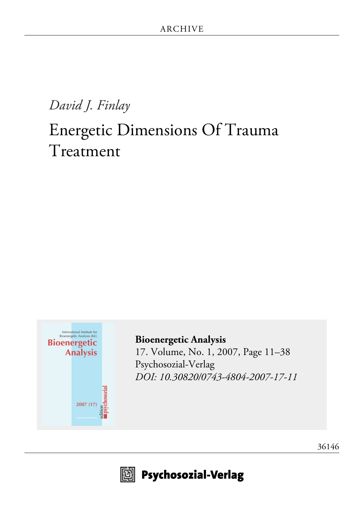# *David J. Finlay*

# Energetic Dimensions Of Trauma Treatment



**[Bioenergetic Analysis](http://www.psychosozial-verlag.de/704)** [17. Volume, No. 1, 2007, Page 11–38](http://www.psychosozial-verlag.de/704) [Psychosozial-Verlag](http://www.psychosozial-verlag.de/704) *[DOI: 10.30820/0743-4804-2007-17-11](https://doi.org/10.30820/0743-4804-2007-17-11)*



 $\boxdot$  Psychosozial-Verlag

[36146](http://www.psychosozial-verlag.de/36146)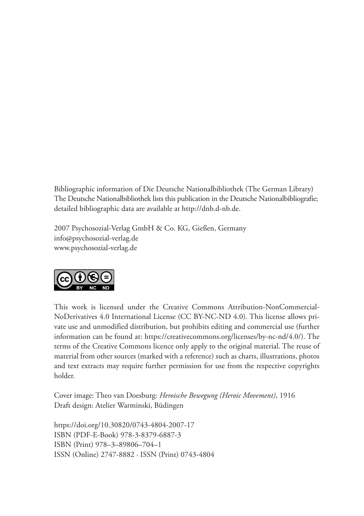Bibliographic information of Die Deutsche Nationalbibliothek (The German Library) The Deutsche Nationalbibliothek lists this publication in the Deutsche Nationalbibliografie; detailed bibliographic data are available at http://dnb.d-nb.de.

2007 Psychosozial-Verlag GmbH & Co. KG, Gießen, Germany info@psychosozial-verlag.de www.psychosozial-verlag.de



This work is licensed under the Creative Commons Attribution-NonCommercial-NoDerivatives 4.0 International License (CC BY-NC-ND 4.0). This license allows private use and unmodified distribution, but prohibits editing and commercial use (further information can be found at: https://creativecommons.org/licenses/by-nc-nd/4.0/). The terms of the Creative Commons licence only apply to the original material. The reuse of material from other sources (marked with a reference) such as charts, illustrations, photos and text extracts may require further permission for use from the respective copyrights holder.

Cover image: Theo van Doesburg: *Heroische Bewegung (Heroic Movement)*, 1916 Draft design: Atelier Warminski, Büdingen

https://doi.org/10.30820/0743-4804-2007-17 ISBN (PDF-E-Book) 978-3-8379-6887-3 ISBN (Print) 978–3–89806–704–1 ISSN (Online) 2747-8882 · ISSN (Print) 0743-4804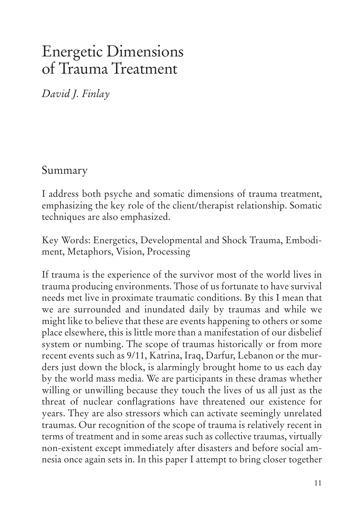# Energetic Dimensions of Trauma Treatment

*David J. Finlay*

Summary

I address both psyche and somatic dimensions of trauma treatment, emphasizing the key role of the client/therapist relationship. Somatic techniques are also emphasized.

Key Words: Energetics, Developmental and Shock Trauma, Embodiment, Metaphors, Vision, Processing

If trauma is the experience of the survivor most of the world lives in trauma producing environments. Those of us fortunate to have survival needs met live in proximate traumatic conditions. By this I mean that we are surrounded and inundated daily by traumas and while we might like to believe that these are events happening to others or some place elsewhere, this is little more than a manifestation of our disbelief system or numbing. The scope of traumas historically or from more recent events such as 9/11, Katrina, Iraq, Darfur, Lebanon or the murders just down the block, is alarmingly brought home to us each day by the world mass media. We are participants in these dramas whether willing or unwilling because they touch the lives of us all just as the threat of nuclear conflagrations have threatened our existence for years. They are also stressors which can activate seemingly unrelated traumas. Our recognition of the scope of trauma is relatively recent in terms of treatment and in some areas such as collective traumas, virtually non-existent except immediately after disasters and before social amnesia once again sets in. In this paper I attempt to bring closer together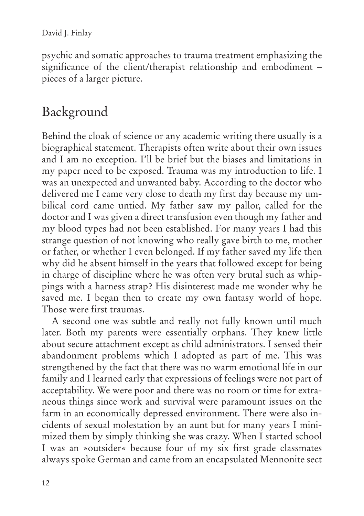psychic and somatic approaches to trauma treatment emphasizing the significance of the client/therapist relationship and embodiment – pieces of a larger picture.

## Background

Behind the cloak of science or any academic writing there usually is a biographical statement. Therapists often write about their own issues and I am no exception. I'll be brief but the biases and limitations in my paper need to be exposed. Trauma was my introduction to life. I was an unexpected and unwanted baby. According to the doctor who delivered me I came very close to death my first day because my umbilical cord came untied. My father saw my pallor, called for the doctor and I was given a direct transfusion even though my father and my blood types had not been established. For many years I had this strange question of not knowing who really gave birth to me, mother or father, or whether I even belonged. If my father saved my life then why did he absent himself in the years that followed except for being in charge of discipline where he was often very brutal such as whippings with a harness strap? His disinterest made me wonder why he saved me. I began then to create my own fantasy world of hope. Those were first traumas.

A second one was subtle and really not fully known until much later. Both my parents were essentially orphans. They knew little about secure attachment except as child administrators. I sensed their abandonment problems which I adopted as part of me. This was strengthened by the fact that there was no warm emotional life in our family and I learned early that expressions of feelings were not part of acceptability. We were poor and there was no room or time for extraneous things since work and survival were paramount issues on the farm in an economically depressed environment. There were also incidents of sexual molestation by an aunt but for many years I minimized them by simply thinking she was crazy. When I started school I was an »outsider« because four of my six first grade classmates always spoke German and came from an encapsulated Mennonite sect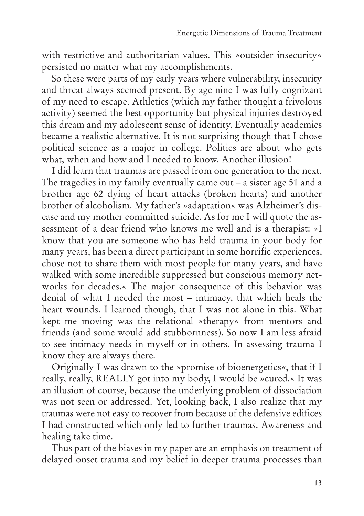with restrictive and authoritarian values. This »outsider insecurity« persisted no matter what my accomplishments.

So these were parts of my early years where vulnerability, insecurity and threat always seemed present. By age nine I was fully cognizant of my need to escape. Athletics (which my father thought a frivolous activity) seemed the best opportunity but physical injuries destroyed this dream and my adolescent sense of identity. Eventually academics became a realistic alternative. It is not surprising though that I chose political science as a major in college. Politics are about who gets what, when and how and I needed to know. Another illusion!

I did learn that traumas are passed from one generation to the next. The tragedies in my family eventually came out – a sister age 51 and a brother age 62 dying of heart attacks (broken hearts) and another brother of alcoholism. My father's »adaptation« was Alzheimer's disease and my mother committed suicide. As for me I will quote the assessment of a dear friend who knows me well and is a therapist: »I know that you are someone who has held trauma in your body for many years, has been a direct participant in some horrific experiences, chose not to share them with most people for many years, and have walked with some incredible suppressed but conscious memory networks for decades.« The major consequence of this behavior was denial of what I needed the most – intimacy, that which heals the heart wounds. I learned though, that I was not alone in this. What kept me moving was the relational »therapy« from mentors and friends (and some would add stubbornness). So now I am less afraid to see intimacy needs in myself or in others. In assessing trauma I know they are always there.

Originally I was drawn to the »promise of bioenergetics«, that if I really, really, REALLY got into my body, I would be »cured.« It was an illusion of course, because the underlying problem of dissociation was not seen or addressed. Yet, looking back, I also realize that my traumas were not easy to recover from because of the defensive edifices I had constructed which only led to further traumas. Awareness and healing take time.

Thus part of the biases in my paper are an emphasis on treatment of delayed onset trauma and my belief in deeper trauma processes than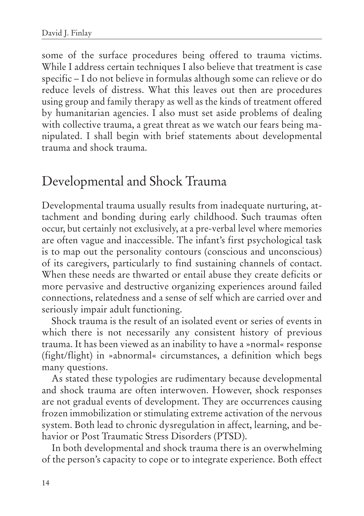some of the surface procedures being offered to trauma victims. While I address certain techniques I also believe that treatment is case specific – I do not believe in formulas although some can relieve or do reduce levels of distress. What this leaves out then are procedures using group and family therapy as well as the kinds of treatment offered by humanitarian agencies. I also must set aside problems of dealing with collective trauma, a great threat as we watch our fears being manipulated. I shall begin with brief statements about developmental trauma and shock trauma.

## Developmental and Shock Trauma

Developmental trauma usually results from inadequate nurturing, attachment and bonding during early childhood. Such traumas often occur, but certainly not exclusively, at a pre-verbal level where memories are often vague and inaccessible. The infant's first psychological task is to map out the personality contours (conscious and unconscious) of its caregivers, particularly to find sustaining channels of contact. When these needs are thwarted or entail abuse they create deficits or more pervasive and destructive organizing experiences around failed connections, relatedness and a sense of self which are carried over and seriously impair adult functioning.

Shock trauma is the result of an isolated event or series of events in which there is not necessarily any consistent history of previous trauma. It has been viewed as an inability to have a »normal« response (fight/flight) in »abnormal« circumstances, a definition which begs many questions.

As stated these typologies are rudimentary because developmental and shock trauma are often interwoven. However, shock responses are not gradual events of development. They are occurrences causing frozen immobilization or stimulating extreme activation of the nervous system. Both lead to chronic dysregulation in affect, learning, and behavior or Post Traumatic Stress Disorders (PTSD).

In both developmental and shock trauma there is an overwhelming of the person's capacity to cope or to integrate experience. Both effect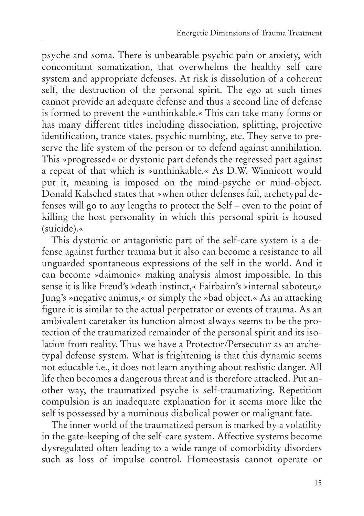psyche and soma. There is unbearable psychic pain or anxiety, with concomitant somatization, that overwhelms the healthy self care system and appropriate defenses. At risk is dissolution of a coherent self, the destruction of the personal spirit. The ego at such times cannot provide an adequate defense and thus a second line of defense is formed to prevent the »unthinkable.« This can take many forms or has many different titles including dissociation, splitting, projective identification, trance states, psychic numbing, etc. They serve to preserve the life system of the person or to defend against annihilation. This »progressed« or dystonic part defends the regressed part against a repeat of that which is »unthinkable.« As D.W. Winnicott would put it, meaning is imposed on the mind-psyche or mind-object. Donald Kalsched states that »when other defenses fail, archetypal defenses will go to any lengths to protect the Self – even to the point of killing the host personality in which this personal spirit is housed (suicide).«

This dystonic or antagonistic part of the self-care system is a defense against further trauma but it also can become a resistance to all unguarded spontaneous expressions of the self in the world. And it can become »daimonic« making analysis almost impossible. In this sense it is like Freud's »death instinct,« Fairbairn's »internal saboteur,« Jung's »negative animus,« or simply the »bad object.« As an attacking figure it is similar to the actual perpetrator or events of trauma. As an ambivalent caretaker its function almost always seems to be the protection of the traumatized remainder of the personal spirit and its isolation from reality. Thus we have a Protector/Persecutor as an archetypal defense system. What is frightening is that this dynamic seems not educable i.e., it does not learn anything about realistic danger. All life then becomes a dangerous threat and is therefore attacked. Put another way, the traumatized psyche is self-traumatizing. Repetition compulsion is an inadequate explanation for it seems more like the self is possessed by a numinous diabolical power or malignant fate.

The inner world of the traumatized person is marked by a volatility in the gate-keeping of the self-care system. Affective systems become dysregulated often leading to a wide range of comorbidity disorders such as loss of impulse control. Homeostasis cannot operate or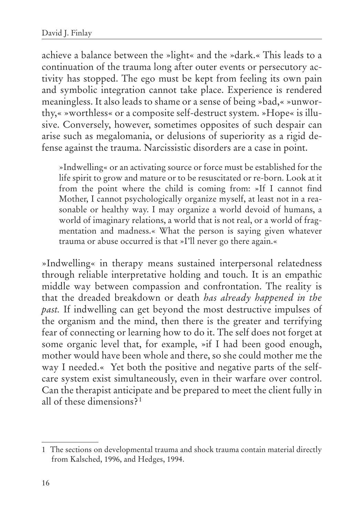achieve a balance between the »light« and the »dark.« This leads to a continuation of the trauma long after outer events or persecutory activity has stopped. The ego must be kept from feeling its own pain and symbolic integration cannot take place. Experience is rendered meaningless. It also leads to shame or a sense of being »bad,« »unworthy,« »worthless« or a composite self-destruct system. »Hope« is illusive. Conversely, however, sometimes opposites of such despair can arise such as megalomania, or delusions of superiority as a rigid defense against the trauma. Narcissistic disorders are a case in point.

»Indwelling« or an activating source or force must be established for the life spirit to grow and mature or to be resuscitated or re-born. Look at it from the point where the child is coming from: »If I cannot find Mother, I cannot psychologically organize myself, at least not in a reasonable or healthy way. I may organize a world devoid of humans, a world of imaginary relations, a world that is not real, or a world of fragmentation and madness.« What the person is saying given whatever trauma or abuse occurred is that »I'll never go there again.«

»Indwelling« in therapy means sustained interpersonal relatedness through reliable interpretative holding and touch. It is an empathic middle way between compassion and confrontation. The reality is that the dreaded breakdown or death *has already happened in the past.* If indwelling can get beyond the most destructive impulses of the organism and the mind, then there is the greater and terrifying fear of connecting or learning how to do it. The self does not forget at some organic level that, for example, »if I had been good enough, mother would have been whole and there, so she could mother me the way I needed.« Yet both the positive and negative parts of the selfcare system exist simultaneously, even in their warfare over control. Can the therapist anticipate and be prepared to meet the client fully in all of these dimensions? <sup>1</sup>

<sup>1</sup> The sections on developmental trauma and shock trauma contain material directly from Kalsched, 1996, and Hedges, 1994.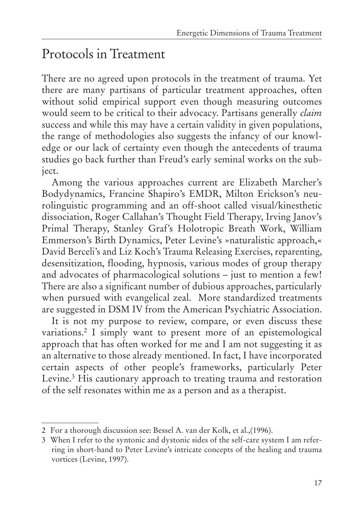## Protocols in Treatment

There are no agreed upon protocols in the treatment of trauma. Yet there are many partisans of particular treatment approaches, often without solid empirical support even though measuring outcomes would seem to be critical to their advocacy. Partisans generally *claim* success and while this may have a certain validity in given populations, the range of methodologies also suggests the infancy of our knowledge or our lack of certainty even though the antecedents of trauma studies go back further than Freud's early seminal works on the subject.

Among the various approaches current are Elizabeth Marcher's Bodydynamics, Francine Shapiro's EMDR, Milton Erickson's neurolinguistic programming and an off-shoot called visual/kinesthetic dissociation, Roger Callahan's Thought Field Therapy, Irving Janov's Primal Therapy, Stanley Graf's Holotropic Breath Work, William Emmerson's Birth Dynamics, Peter Levine's »naturalistic approach,« David Berceli's and Liz Koch's Trauma Releasing Exercises, reparenting, desensitization, flooding, hypnosis, various modes of group therapy and advocates of pharmacological solutions – just to mention a few! There are also a significant number of dubious approaches, particularly when pursued with evangelical zeal. More standardized treatments are suggested in DSM IV from the American Psychiatric Association.

It is not my purpose to review, compare, or even discuss these variations.2 I simply want to present more of an epistemological approach that has often worked for me and I am not suggesting it as an alternative to those already mentioned. In fact, I have incorporated certain aspects of other people's frameworks, particularly Peter Levine.<sup>3</sup> His cautionary approach to treating trauma and restoration of the self resonates within me as a person and as a therapist.

<sup>2</sup> For a thorough discussion see: Bessel A. van der Kolk, et al.,(1996).

<sup>3</sup> When I refer to the syntonic and dystonic sides of the self-care system I am referring in short-hand to Peter Levine's intricate concepts of the healing and trauma vortices (Levine, 1997).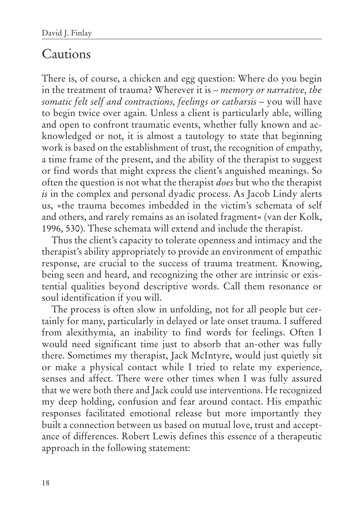#### Cautions

There is, of course, a chicken and egg question: Where do you begin in the treatment of trauma? Wherever it is – *memory or narrative, the somatic felt self and contractions, feelings or catharsis* – you will have to begin twice over again. Unless a client is particularly able, willing and open to confront traumatic events, whether fully known and acknowledged or not, it is almost a tautology to state that beginning work is based on the establishment of trust, the recognition of empathy, a time frame of the present, and the ability of the therapist to suggest or find words that might express the client's anguished meanings. So often the question is not what the therapist *does* but who the therapist *is* in the complex and personal dyadic process. As Jacob Lindy alerts us, »the trauma becomes imbedded in the victim's schemata of self and others, and rarely remains as an isolated fragment« (van der Kolk, 1996, 530). These schemata will extend and include the therapist.

Thus the client's capacity to tolerate openness and intimacy and the therapist's ability appropriately to provide an environment of empathic response, are crucial to the success of trauma treatment. Knowing, being seen and heard, and recognizing the other are intrinsic or existential qualities beyond descriptive words. Call them resonance or soul identification if you will.

The process is often slow in unfolding, not for all people but certainly for many, particularly in delayed or late onset trauma. I suffered from alexithymia, an inability to find words for feelings. Often I would need significant time just to absorb that an-other was fully there. Sometimes my therapist, Jack McIntyre, would just quietly sit or make a physical contact while I tried to relate my experience, senses and affect. There were other times when I was fully assured that we were both there and Jack could use interventions. He recognized my deep holding, confusion and fear around contact. His empathic responses facilitated emotional release but more importantly they built a connection between us based on mutual love, trust and acceptance of differences. Robert Lewis defines this essence of a therapeutic approach in the following statement: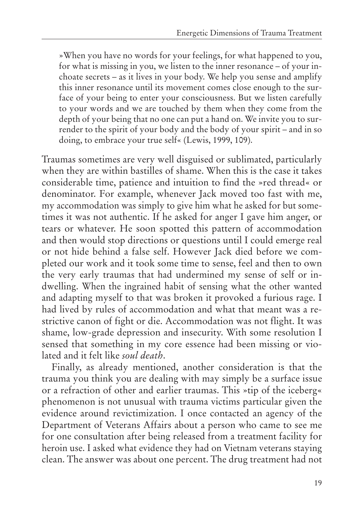»When you have no words for your feelings, for what happened to you, for what is missing in you, we listen to the inner resonance – of your inchoate secrets – as it lives in your body. We help you sense and amplify this inner resonance until its movement comes close enough to the surface of your being to enter your consciousness. But we listen carefully to your words and we are touched by them when they come from the depth of your being that no one can put a hand on. We invite you to surrender to the spirit of your body and the body of your spirit – and in so doing, to embrace your true self« (Lewis, 1999, 109).

Traumas sometimes are very well disguised or sublimated, particularly when they are within bastilles of shame. When this is the case it takes considerable time, patience and intuition to find the »red thread« or denominator. For example, whenever Jack moved too fast with me, my accommodation was simply to give him what he asked for but sometimes it was not authentic. If he asked for anger I gave him anger, or tears or whatever. He soon spotted this pattern of accommodation and then would stop directions or questions until I could emerge real or not hide behind a false self. However Jack died before we completed our work and it took some time to sense, feel and then to own the very early traumas that had undermined my sense of self or indwelling. When the ingrained habit of sensing what the other wanted and adapting myself to that was broken it provoked a furious rage. I had lived by rules of accommodation and what that meant was a restrictive canon of fight or die. Accommodation was not flight. It was shame, low-grade depression and insecurity. With some resolution I sensed that something in my core essence had been missing or violated and it felt like *soul death*.

Finally, as already mentioned, another consideration is that the trauma you think you are dealing with may simply be a surface issue or a refraction of other and earlier traumas. This »tip of the iceberg« phenomenon is not unusual with trauma victims particular given the evidence around revictimization. I once contacted an agency of the Department of Veterans Affairs about a person who came to see me for one consultation after being released from a treatment facility for heroin use. I asked what evidence they had on Vietnam veterans staying clean. The answer was about one percent. The drug treatment had not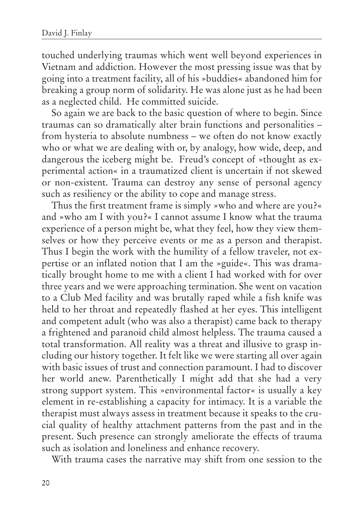touched underlying traumas which went well beyond experiences in Vietnam and addiction. However the most pressing issue was that by going into a treatment facility, all of his »buddies« abandoned him for breaking a group norm of solidarity. He was alone just as he had been as a neglected child. He committed suicide.

So again we are back to the basic question of where to begin. Since traumas can so dramatically alter brain functions and personalities – from hysteria to absolute numbness – we often do not know exactly who or what we are dealing with or, by analogy, how wide, deep, and dangerous the iceberg might be. Freud's concept of »thought as experimental action« in a traumatized client is uncertain if not skewed or non-existent. Trauma can destroy any sense of personal agency such as resiliency or the ability to cope and manage stress.

Thus the first treatment frame is simply »who and where are you?« and »who am I with you?« I cannot assume I know what the trauma experience of a person might be, what they feel, how they view themselves or how they perceive events or me as a person and therapist. Thus I begin the work with the humility of a fellow traveler, not expertise or an inflated notion that I am the »guide«. This was dramatically brought home to me with a client I had worked with for over three years and we were approaching termination. She went on vacation to a Club Med facility and was brutally raped while a fish knife was held to her throat and repeatedly flashed at her eyes. This intelligent and competent adult (who was also a therapist) came back to therapy a frightened and paranoid child almost helpless. The trauma caused a total transformation. All reality was a threat and illusive to grasp including our history together. It felt like we were starting all over again with basic issues of trust and connection paramount. I had to discover her world anew. Parenthetically I might add that she had a very strong support system. This »environmental factor« is usually a key element in re-establishing a capacity for intimacy. It is a variable the therapist must always assess in treatment because it speaks to the crucial quality of healthy attachment patterns from the past and in the present. Such presence can strongly ameliorate the effects of trauma such as isolation and loneliness and enhance recovery.

With trauma cases the narrative may shift from one session to the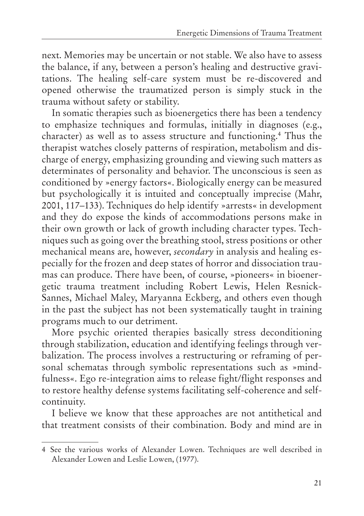next. Memories may be uncertain or not stable. We also have to assess the balance, if any, between a person's healing and destructive gravitations. The healing self-care system must be re-discovered and opened otherwise the traumatized person is simply stuck in the trauma without safety or stability.

In somatic therapies such as bioenergetics there has been a tendency to emphasize techniques and formulas, initially in diagnoses (e.g., character) as well as to assess structure and functioning.4 Thus the therapist watches closely patterns of respiration, metabolism and discharge of energy, emphasizing grounding and viewing such matters as determinates of personality and behavior. The unconscious is seen as conditioned by »energy factors«. Biologically energy can be measured but psychologically it is intuited and conceptually imprecise (Mahr, 2001, 117–133). Techniques do help identify »arrests« in development and they do expose the kinds of accommodations persons make in their own growth or lack of growth including character types. Techniques such as going over the breathing stool, stress positions or other mechanical means are, however, *secondary* in analysis and healing especially for the frozen and deep states of horror and dissociation traumas can produce. There have been, of course, »pioneers« in bioenergetic trauma treatment including Robert Lewis, Helen Resnick-Sannes, Michael Maley, Maryanna Eckberg, and others even though in the past the subject has not been systematically taught in training programs much to our detriment.

More psychic oriented therapies basically stress deconditioning through stabilization, education and identifying feelings through verbalization. The process involves a restructuring or reframing of personal schematas through symbolic representations such as »mindfulness«. Ego re-integration aims to release fight/flight responses and to restore healthy defense systems facilitating self-coherence and selfcontinuity.

I believe we know that these approaches are not antithetical and that treatment consists of their combination. Body and mind are in

<sup>4</sup> See the various works of Alexander Lowen. Techniques are well described in Alexander Lowen and Leslie Lowen, (1977).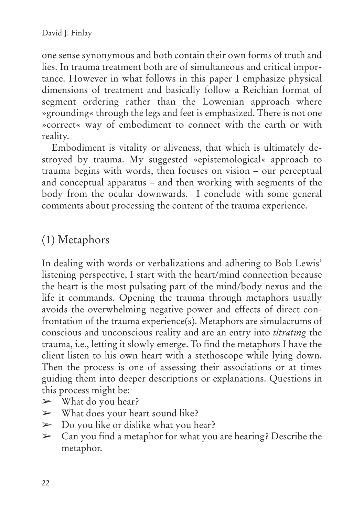one sense synonymous and both contain their own forms of truth and lies. In trauma treatment both are of simultaneous and critical importance. However in what follows in this paper I emphasize physical dimensions of treatment and basically follow a Reichian format of segment ordering rather than the Lowenian approach where »grounding« through the legs and feet is emphasized. There is not one »correct« way of embodiment to connect with the earth or with reality.

Embodiment is vitality or aliveness, that which is ultimately destroyed by trauma. My suggested »epistemological« approach to trauma begins with words, then focuses on vision – our perceptual and conceptual apparatus – and then working with segments of the body from the ocular downwards. I conclude with some general comments about processing the content of the trauma experience.

#### (1) Metaphors

In dealing with words or verbalizations and adhering to Bob Lewis' listening perspective, I start with the heart/mind connection because the heart is the most pulsating part of the mind/body nexus and the life it commands. Opening the trauma through metaphors usually avoids the overwhelming negative power and effects of direct confrontation of the trauma experience(s). Metaphors are simulacrums of conscious and unconscious reality and are an entry into *titrating* the trauma, i.e., letting it slowly emerge. To find the metaphors I have the client listen to his own heart with a stethoscope while lying down. Then the process is one of assessing their associations or at times guiding them into deeper descriptions or explanations. Questions in this process might be:

- $\triangleright$  What do you hear?
- $\triangleright$  What does your heart sound like?
- $\triangleright$  Do you like or dislike what you hear?
- $\sum$  Can you find a metaphor for what you are hearing? Describe the metaphor.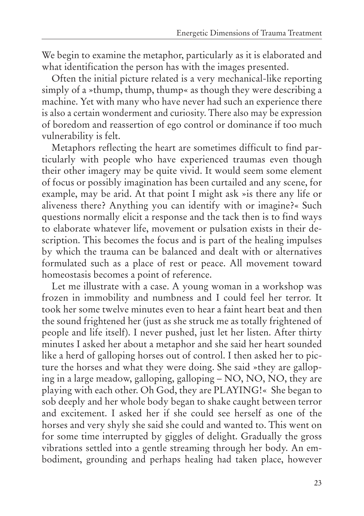We begin to examine the metaphor, particularly as it is elaborated and what identification the person has with the images presented.

Often the initial picture related is a very mechanical-like reporting simply of a »thump, thump, thump« as though they were describing a machine. Yet with many who have never had such an experience there is also a certain wonderment and curiosity. There also may be expression of boredom and reassertion of ego control or dominance if too much vulnerability is felt.

Metaphors reflecting the heart are sometimes difficult to find particularly with people who have experienced traumas even though their other imagery may be quite vivid. It would seem some element of focus or possibly imagination has been curtailed and any scene, for example, may be arid. At that point I might ask »is there any life or aliveness there? Anything you can identify with or imagine?« Such questions normally elicit a response and the tack then is to find ways to elaborate whatever life, movement or pulsation exists in their description. This becomes the focus and is part of the healing impulses by which the trauma can be balanced and dealt with or alternatives formulated such as a place of rest or peace. All movement toward homeostasis becomes a point of reference.

Let me illustrate with a case. A young woman in a workshop was frozen in immobility and numbness and I could feel her terror. It took her some twelve minutes even to hear a faint heart beat and then the sound frightened her (just as she struck me as totally frightened of people and life itself). I never pushed, just let her listen. After thirty minutes I asked her about a metaphor and she said her heart sounded like a herd of galloping horses out of control. I then asked her to picture the horses and what they were doing. She said »they are galloping in a large meadow, galloping, galloping – NO, NO, NO, they are playing with each other. Oh God, they are PLAYING!« She began to sob deeply and her whole body began to shake caught between terror and excitement. I asked her if she could see herself as one of the horses and very shyly she said she could and wanted to. This went on for some time interrupted by giggles of delight. Gradually the gross vibrations settled into a gentle streaming through her body. An embodiment, grounding and perhaps healing had taken place, however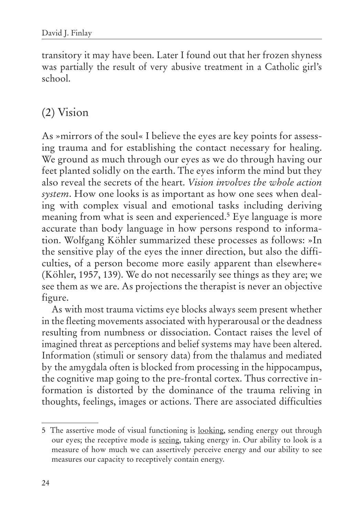transitory it may have been. Later I found out that her frozen shyness was partially the result of very abusive treatment in a Catholic girl's school.

#### (2) Vision

As »mirrors of the soul« I believe the eyes are key points for assessing trauma and for establishing the contact necessary for healing. We ground as much through our eyes as we do through having our feet planted solidly on the earth. The eyes inform the mind but they also reveal the secrets of the heart. *Vision involves the whole action system*. How one looks is as important as how one sees when dealing with complex visual and emotional tasks including deriving meaning from what is seen and experienced.<sup>5</sup> Eye language is more accurate than body language in how persons respond to information. Wolfgang Köhler summarized these processes as follows: »In the sensitive play of the eyes the inner direction, but also the difficulties, of a person become more easily apparent than elsewhere« (Köhler, 1957, 139). We do not necessarily see things as they are; we see them as we are. As projections the therapist is never an objective figure.

As with most trauma victims eye blocks always seem present whether in the fleeting movements associated with hyperarousal or the deadness resulting from numbness or dissociation. Contact raises the level of imagined threat as perceptions and belief systems may have been altered. Information (stimuli or sensory data) from the thalamus and mediated by the amygdala often is blocked from processing in the hippocampus, the cognitive map going to the pre-frontal cortex. Thus corrective information is distorted by the dominance of the trauma reliving in thoughts, feelings, images or actions. There are associated difficulties

<sup>5</sup> The assertive mode of visual functioning is looking, sending energy out through our eyes; the receptive mode is seeing, taking energy in. Our ability to look is a measure of how much we can assertively perceive energy and our ability to see measures our capacity to receptively contain energy.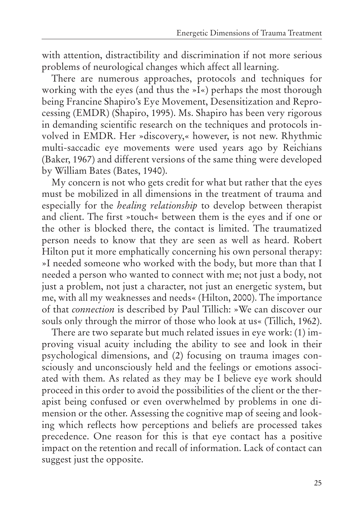with attention, distractibility and discrimination if not more serious problems of neurological changes which affect all learning.

There are numerous approaches, protocols and techniques for working with the eyes (and thus the »I«) perhaps the most thorough being Francine Shapiro's Eye Movement, Desensitization and Reprocessing (EMDR) (Shapiro, 1995). Ms. Shapiro has been very rigorous in demanding scientific research on the techniques and protocols involved in EMDR. Her »discovery,« however, is not new. Rhythmic multi-saccadic eye movements were used years ago by Reichians (Baker, 1967) and different versions of the same thing were developed by William Bates (Bates, 1940).

My concern is not who gets credit for what but rather that the eyes must be mobilized in all dimensions in the treatment of trauma and especially for the *healing relationship* to develop between therapist and client. The first »touch« between them is the eyes and if one or the other is blocked there, the contact is limited. The traumatized person needs to know that they are seen as well as heard. Robert Hilton put it more emphatically concerning his own personal therapy: »I needed someone who worked with the body, but more than that I needed a person who wanted to connect with me; not just a body, not just a problem, not just a character, not just an energetic system, but me, with all my weaknesses and needs« (Hilton, 2000). The importance of that *connection* is described by Paul Tillich: »We can discover our souls only through the mirror of those who look at us« (Tillich, 1962).

There are two separate but much related issues in eye work: (1) improving visual acuity including the ability to see and look in their psychological dimensions, and (2) focusing on trauma images consciously and unconsciously held and the feelings or emotions associated with them. As related as they may be I believe eye work should proceed in this order to avoid the possibilities of the client or the therapist being confused or even overwhelmed by problems in one dimension or the other. Assessing the cognitive map of seeing and looking which reflects how perceptions and beliefs are processed takes precedence. One reason for this is that eye contact has a positive impact on the retention and recall of information. Lack of contact can suggest just the opposite.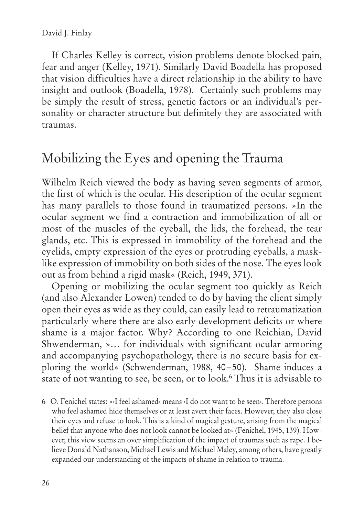If Charles Kelley is correct, vision problems denote blocked pain, fear and anger (Kelley, 1971). Similarly David Boadella has proposed that vision difficulties have a direct relationship in the ability to have insight and outlook (Boadella, 1978). Certainly such problems may be simply the result of stress, genetic factors or an individual's personality or character structure but definitely they are associated with traumas.

## Mobilizing the Eyes and opening the Trauma

Wilhelm Reich viewed the body as having seven segments of armor, the first of which is the ocular. His description of the ocular segment has many parallels to those found in traumatized persons. »In the ocular segment we find a contraction and immobilization of all or most of the muscles of the eyeball, the lids, the forehead, the tear glands, etc. This is expressed in immobility of the forehead and the eyelids, empty expression of the eyes or protruding eyeballs, a masklike expression of immobility on both sides of the nose. The eyes look out as from behind a rigid mask« (Reich, 1949, 371).

Opening or mobilizing the ocular segment too quickly as Reich (and also Alexander Lowen) tended to do by having the client simply open their eyes as wide as they could, can easily lead to retraumatization particularly where there are also early development deficits or where shame is a major factor. Why? According to one Reichian, David Shwenderman, »… for individuals with significant ocular armoring and accompanying psychopathology, there is no secure basis for exploring the world« (Schwenderman, 1988, 40–50). Shame induces a state of not wanting to see, be seen, or to look.6 Thus it is advisable to

<sup>6</sup> O. Fenichel states: »›I feel ashamed‹ means ›I do not want to be seen‹. Therefore persons who feel ashamed hide themselves or at least avert their faces. However, they also close their eyes and refuse to look. This is a kind of magical gesture, arising from the magical belief that anyone who does not look cannot be looked at« (Fenichel, 1945, 139). However, this view seems an over simplification of the impact of traumas such as rape. I believe Donald Nathanson, Michael Lewis and Michael Maley, among others, have greatly expanded our understanding of the impacts of shame in relation to trauma.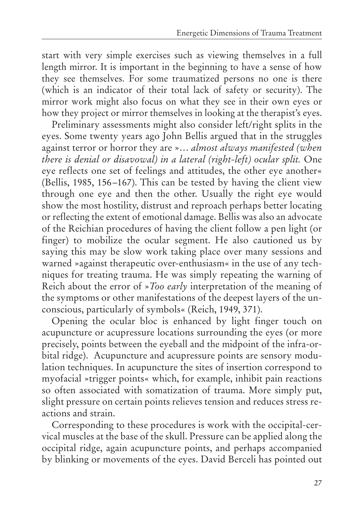start with very simple exercises such as viewing themselves in a full length mirror. It is important in the beginning to have a sense of how they see themselves. For some traumatized persons no one is there (which is an indicator of their total lack of safety or security). The mirror work might also focus on what they see in their own eyes or how they project or mirror themselves in looking at the therapist's eyes.

Preliminary assessments might also consider left/right splits in the eyes. Some twenty years ago John Bellis argued that in the struggles against terror or horror they are »… *almost always manifested (when there is denial or disavowal) in a lateral (right-left) ocular split.* One eye reflects one set of feelings and attitudes, the other eye another« (Bellis, 1985, 156–167). This can be tested by having the client view through one eye and then the other. Usually the right eye would show the most hostility, distrust and reproach perhaps better locating or reflecting the extent of emotional damage. Bellis was also an advocate of the Reichian procedures of having the client follow a pen light (or finger) to mobilize the ocular segment. He also cautioned us by saying this may be slow work taking place over many sessions and warned »against therapeutic over-enthusiasm« in the use of any techniques for treating trauma. He was simply repeating the warning of Reich about the error of »*Too early* interpretation of the meaning of the symptoms or other manifestations of the deepest layers of the unconscious, particularly of symbols« (Reich, 1949, 371).

Opening the ocular bloc is enhanced by light finger touch on acupuncture or acupressure locations surrounding the eyes (or more precisely, points between the eyeball and the midpoint of the infra-orbital ridge). Acupuncture and acupressure points are sensory modulation techniques. In acupuncture the sites of insertion correspond to myofacial »trigger points« which, for example, inhibit pain reactions so often associated with somatization of trauma. More simply put, slight pressure on certain points relieves tension and reduces stress reactions and strain.

Corresponding to these procedures is work with the occipital-cervical muscles at the base of the skull. Pressure can be applied along the occipital ridge, again acupuncture points, and perhaps accompanied by blinking or movements of the eyes. David Berceli has pointed out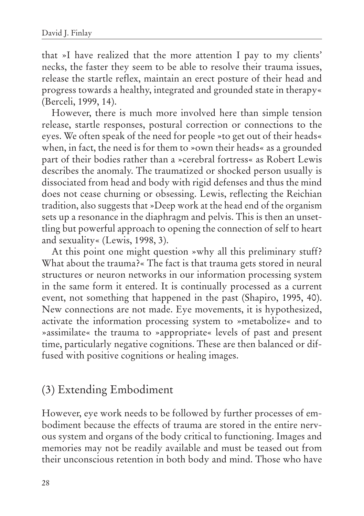that »I have realized that the more attention I pay to my clients' necks, the faster they seem to be able to resolve their trauma issues, release the startle reflex, maintain an erect posture of their head and progress towards a healthy, integrated and grounded state in therapy« (Berceli, 1999, 14).

However, there is much more involved here than simple tension release, startle responses, postural correction or connections to the eyes. We often speak of the need for people »to get out of their heads« when, in fact, the need is for them to »own their heads« as a grounded part of their bodies rather than a »cerebral fortress« as Robert Lewis describes the anomaly. The traumatized or shocked person usually is dissociated from head and body with rigid defenses and thus the mind does not cease churning or obsessing. Lewis, reflecting the Reichian tradition, also suggests that »Deep work at the head end of the organism sets up a resonance in the diaphragm and pelvis. This is then an unsettling but powerful approach to opening the connection of self to heart and sexuality« (Lewis, 1998, 3).

At this point one might question »why all this preliminary stuff? What about the trauma?« The fact is that trauma gets stored in neural structures or neuron networks in our information processing system in the same form it entered. It is continually processed as a current event, not something that happened in the past (Shapiro, 1995, 40). New connections are not made. Eye movements, it is hypothesized, activate the information processing system to »metabolize« and to »assimilate« the trauma to »appropriate« levels of past and present time, particularly negative cognitions. These are then balanced or diffused with positive cognitions or healing images.

#### (3) Extending Embodiment

However, eye work needs to be followed by further processes of embodiment because the effects of trauma are stored in the entire nervous system and organs of the body critical to functioning. Images and memories may not be readily available and must be teased out from their unconscious retention in both body and mind. Those who have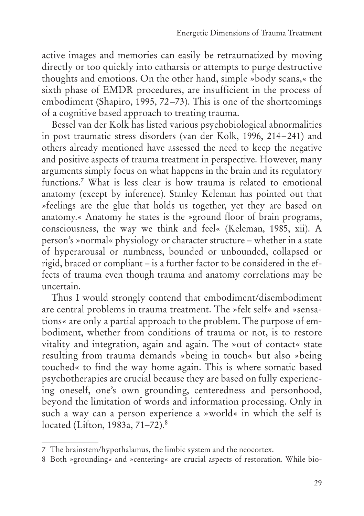active images and memories can easily be retraumatized by moving directly or too quickly into catharsis or attempts to purge destructive thoughts and emotions. On the other hand, simple »body scans,« the sixth phase of EMDR procedures, are insufficient in the process of embodiment (Shapiro, 1995, 72–73). This is one of the shortcomings of a cognitive based approach to treating trauma.

Bessel van der Kolk has listed various psychobiological abnormalities in post traumatic stress disorders (van der Kolk, 1996, 214–241) and others already mentioned have assessed the need to keep the negative and positive aspects of trauma treatment in perspective. However, many arguments simply focus on what happens in the brain and its regulatory functions.<sup>7</sup> What is less clear is how trauma is related to emotional anatomy (except by inference). Stanley Keleman has pointed out that »feelings are the glue that holds us together, yet they are based on anatomy.« Anatomy he states is the »ground floor of brain programs, consciousness, the way we think and feel« (Keleman, 1985, xii). A person's »normal« physiology or character structure – whether in a state of hyperarousal or numbness, bounded or unbounded, collapsed or rigid, braced or compliant – is a further factor to be considered in the effects of trauma even though trauma and anatomy correlations may be uncertain.

Thus I would strongly contend that embodiment/disembodiment are central problems in trauma treatment. The »felt self« and »sensations« are only a partial approach to the problem. The purpose of embodiment, whether from conditions of trauma or not, is to restore vitality and integration, again and again. The »out of contact« state resulting from trauma demands »being in touch« but also »being touched« to find the way home again. This is where somatic based psychotherapies are crucial because they are based on fully experiencing oneself, one's own grounding, centeredness and personhood, beyond the limitation of words and information processing. Only in such a way can a person experience a »world« in which the self is located (Lifton, 1983a, 71–72).8

<sup>7</sup> The brainstem/hypothalamus, the limbic system and the neocortex.

<sup>8</sup> Both »grounding« and »centering« are crucial aspects of restoration. While bio-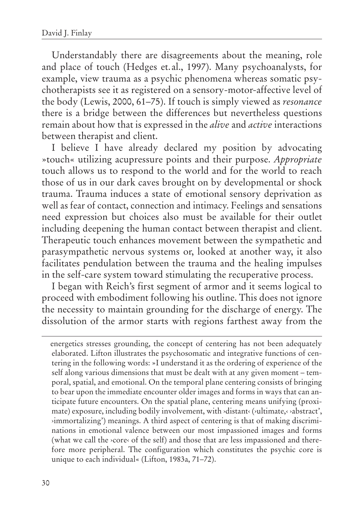Understandably there are disagreements about the meaning, role and place of touch (Hedges et.al., 1997). Many psychoanalysts, for example, view trauma as a psychic phenomena whereas somatic psychotherapists see it as registered on a sensory-motor-affective level of the body (Lewis, 2000, 61–75). If touch is simply viewed as *resonance* there is a bridge between the differences but nevertheless questions remain about how that is expressed in the *alive* and *active* interactions between therapist and client.

I believe I have already declared my position by advocating »touch« utilizing acupressure points and their purpose. *Appropriate* touch allows us to respond to the world and for the world to reach those of us in our dark caves brought on by developmental or shock trauma. Trauma induces a state of emotional sensory deprivation as well as fear of contact, connection and intimacy. Feelings and sensations need expression but choices also must be available for their outlet including deepening the human contact between therapist and client. Therapeutic touch enhances movement between the sympathetic and parasympathetic nervous systems or, looked at another way, it also facilitates pendulation between the trauma and the healing impulses in the self-care system toward stimulating the recuperative process.

I began with Reich's first segment of armor and it seems logical to proceed with embodiment following his outline. This does not ignore the necessity to maintain grounding for the discharge of energy. The dissolution of the armor starts with regions farthest away from the

energetics stresses grounding, the concept of centering has not been adequately elaborated. Lifton illustrates the psychosomatic and integrative functions of centering in the following words: »I understand it as the ordering of experience of the self along various dimensions that must be dealt with at any given moment – temporal, spatial, and emotional. On the temporal plane centering consists of bringing to bear upon the immediate encounter older images and forms in ways that can anticipate future encounters. On the spatial plane, centering means unifying (proximate) exposure, including bodily involvement, with ›distant‹ (›ultimate,‹ ›abstract', ›immortalizing') meanings. A third aspect of centering is that of making discriminations in emotional valence between our most impassioned images and forms (what we call the ›core‹ of the self) and those that are less impassioned and therefore more peripheral. The configuration which constitutes the psychic core is unique to each individual« (Lifton, 1983a, 71–72).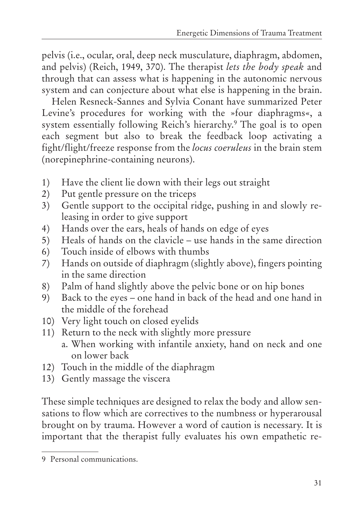pelvis (i.e., ocular, oral, deep neck musculature, diaphragm, abdomen, and pelvis) (Reich, 1949, 370). The therapist *lets the body speak* and through that can assess what is happening in the autonomic nervous system and can conjecture about what else is happening in the brain.

Helen Resneck-Sannes and Sylvia Conant have summarized Peter Levine's procedures for working with the »four diaphragms«, a system essentially following Reich's hierarchy.<sup>9</sup> The goal is to open each segment but also to break the feedback loop activating a fight/flight/freeze response from the *locus coeruleus* in the brain stem (norepinephrine-containing neurons).

- 1) Have the client lie down with their legs out straight
- 2) Put gentle pressure on the triceps
- 3) Gentle support to the occipital ridge, pushing in and slowly releasing in order to give support
- 4) Hands over the ears, heals of hands on edge of eyes
- 5) Heals of hands on the clavicle use hands in the same direction
- 6) Touch inside of elbows with thumbs
- 7) Hands on outside of diaphragm (slightly above), fingers pointing in the same direction
- 8) Palm of hand slightly above the pelvic bone or on hip bones
- 9) Back to the eyes one hand in back of the head and one hand in the middle of the forehead
- 10) Very light touch on closed eyelids
- 11) Return to the neck with slightly more pressure a. When working with infantile anxiety, hand on neck and one on lower back
- 12) Touch in the middle of the diaphragm
- 13) Gently massage the viscera

These simple techniques are designed to relax the body and allow sensations to flow which are correctives to the numbness or hyperarousal brought on by trauma. However a word of caution is necessary. It is important that the therapist fully evaluates his own empathetic re-

<sup>9</sup> Personal communications.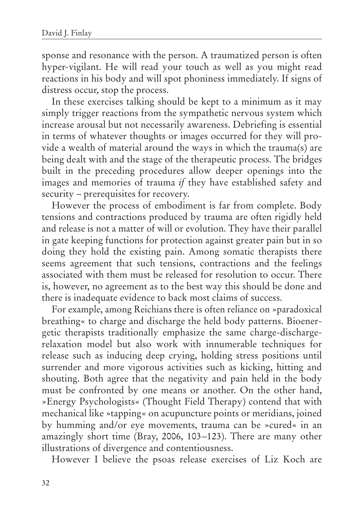sponse and resonance with the person. A traumatized person is often hyper-vigilant. He will read your touch as well as you might read reactions in his body and will spot phoniness immediately. If signs of distress occur, stop the process.

In these exercises talking should be kept to a minimum as it may simply trigger reactions from the sympathetic nervous system which increase arousal but not necessarily awareness. Debriefing is essential in terms of whatever thoughts or images occurred for they will provide a wealth of material around the ways in which the trauma(s) are being dealt with and the stage of the therapeutic process. The bridges built in the preceding procedures allow deeper openings into the images and memories of trauma *if* they have established safety and security – prerequisites for recovery.

However the process of embodiment is far from complete. Body tensions and contractions produced by trauma are often rigidly held and release is not a matter of will or evolution. They have their parallel in gate keeping functions for protection against greater pain but in so doing they hold the existing pain. Among somatic therapists there seems agreement that such tensions, contractions and the feelings associated with them must be released for resolution to occur. There is, however, no agreement as to the best way this should be done and there is inadequate evidence to back most claims of success.

For example, among Reichians there is often reliance on »paradoxical breathing« to charge and discharge the held body patterns. Bioenergetic therapists traditionally emphasize the same charge-dischargerelaxation model but also work with innumerable techniques for release such as inducing deep crying, holding stress positions until surrender and more vigorous activities such as kicking, hitting and shouting. Both agree that the negativity and pain held in the body must be confronted by one means or another. On the other hand, »Energy Psychologists« (Thought Field Therapy) contend that with mechanical like »tapping« on acupuncture points or meridians, joined by humming and/or eye movements, trauma can be »cured« in an amazingly short time (Bray, 2006, 103–123). There are many other illustrations of divergence and contentiousness.

However I believe the psoas release exercises of Liz Koch are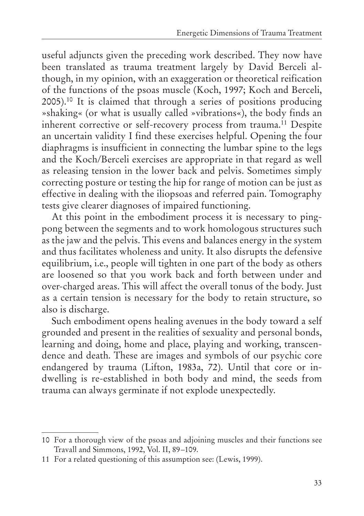useful adjuncts given the preceding work described. They now have been translated as trauma treatment largely by David Berceli although, in my opinion, with an exaggeration or theoretical reification of the functions of the psoas muscle (Koch, 1997; Koch and Berceli, 2005).10 It is claimed that through a series of positions producing »shaking« (or what is usually called »vibrations«), the body finds an inherent corrective or self-recovery process from trauma.<sup>11</sup> Despite an uncertain validity I find these exercises helpful. Opening the four diaphragms is insufficient in connecting the lumbar spine to the legs and the Koch/Berceli exercises are appropriate in that regard as well as releasing tension in the lower back and pelvis. Sometimes simply correcting posture or testing the hip for range of motion can be just as effective in dealing with the iliopsoas and referred pain. Tomography tests give clearer diagnoses of impaired functioning.

At this point in the embodiment process it is necessary to pingpong between the segments and to work homologous structures such as the jaw and the pelvis. This evens and balances energy in the system and thus facilitates wholeness and unity. It also disrupts the defensive equilibrium, i.e., people will tighten in one part of the body as others are loosened so that you work back and forth between under and over-charged areas. This will affect the overall tonus of the body. Just as a certain tension is necessary for the body to retain structure, so also is discharge.

Such embodiment opens healing avenues in the body toward a self grounded and present in the realities of sexuality and personal bonds, learning and doing, home and place, playing and working, transcendence and death. These are images and symbols of our psychic core endangered by trauma (Lifton, 1983a, 72). Until that core or indwelling is re-established in both body and mind, the seeds from trauma can always germinate if not explode unexpectedly.

<sup>10</sup> For a thorough view of the psoas and adjoining muscles and their functions see Travall and Simmons, 1992, Vol. II, 89–109.

<sup>11</sup> For a related questioning of this assumption see: (Lewis, 1999).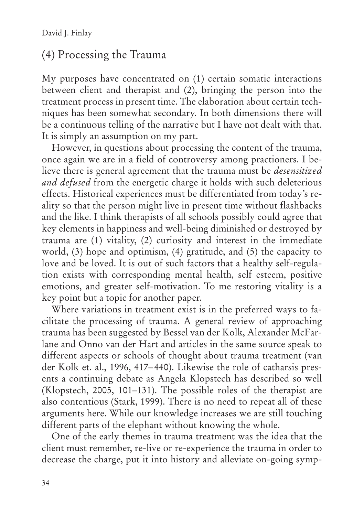#### (4) Processing the Trauma

My purposes have concentrated on (1) certain somatic interactions between client and therapist and (2), bringing the person into the treatment process in present time. The elaboration about certain techniques has been somewhat secondary. In both dimensions there will be a continuous telling of the narrative but I have not dealt with that. It is simply an assumption on my part.

However, in questions about processing the content of the trauma, once again we are in a field of controversy among practioners. I believe there is general agreement that the trauma must be *desensitized and defused* from the energetic charge it holds with such deleterious effects. Historical experiences must be differentiated from today's reality so that the person might live in present time without flashbacks and the like. I think therapists of all schools possibly could agree that key elements in happiness and well-being diminished or destroyed by trauma are (1) vitality, (2) curiosity and interest in the immediate world, (3) hope and optimism, (4) gratitude, and (5) the capacity to love and be loved. It is out of such factors that a healthy self-regulation exists with corresponding mental health, self esteem, positive emotions, and greater self-motivation. To me restoring vitality is a key point but a topic for another paper.

Where variations in treatment exist is in the preferred ways to facilitate the processing of trauma. A general review of approaching trauma has been suggested by Bessel van der Kolk, Alexander McFarlane and Onno van der Hart and articles in the same source speak to different aspects or schools of thought about trauma treatment (van der Kolk et. al., 1996, 417–440). Likewise the role of catharsis presents a continuing debate as Angela Klopstech has described so well (Klopstech, 2005, 101–131). The possible roles of the therapist are also contentious (Stark, 1999). There is no need to repeat all of these arguments here. While our knowledge increases we are still touching different parts of the elephant without knowing the whole.

One of the early themes in trauma treatment was the idea that the client must remember, re-live or re-experience the trauma in order to decrease the charge, put it into history and alleviate on-going symp-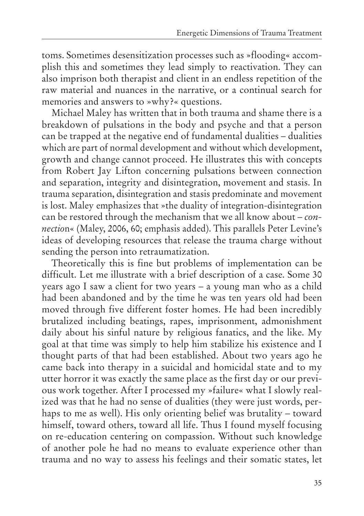toms. Sometimes desensitization processes such as »flooding« accomplish this and sometimes they lead simply to reactivation. They can also imprison both therapist and client in an endless repetition of the raw material and nuances in the narrative, or a continual search for memories and answers to »why?« questions.

Michael Maley has written that in both trauma and shame there is a breakdown of pulsations in the body and psyche and that a person can be trapped at the negative end of fundamental dualities – dualities which are part of normal development and without which development, growth and change cannot proceed. He illustrates this with concepts from Robert Jay Lifton concerning pulsations between connection and separation, integrity and disintegration, movement and stasis. In trauma separation, disintegration and stasis predominate and movement is lost. Maley emphasizes that »the duality of integration-disintegration can be restored through the mechanism that we all know about – *connectio*n« (Maley, 2006, 60; emphasis added). This parallels Peter Levine's ideas of developing resources that release the trauma charge without sending the person into retraumatization.

Theoretically this is fine but problems of implementation can be difficult. Let me illustrate with a brief description of a case. Some 30 years ago I saw a client for two years – a young man who as a child had been abandoned and by the time he was ten years old had been moved through five different foster homes. He had been incredibly brutalized including beatings, rapes, imprisonment, admonishment daily about his sinful nature by religious fanatics, and the like. My goal at that time was simply to help him stabilize his existence and I thought parts of that had been established. About two years ago he came back into therapy in a suicidal and homicidal state and to my utter horror it was exactly the same place as the first day or our previous work together. After I processed my »failure« what I slowly realized was that he had no sense of dualities (they were just words, perhaps to me as well). His only orienting belief was brutality – toward himself, toward others, toward all life. Thus I found myself focusing on re-education centering on compassion. Without such knowledge of another pole he had no means to evaluate experience other than trauma and no way to assess his feelings and their somatic states, let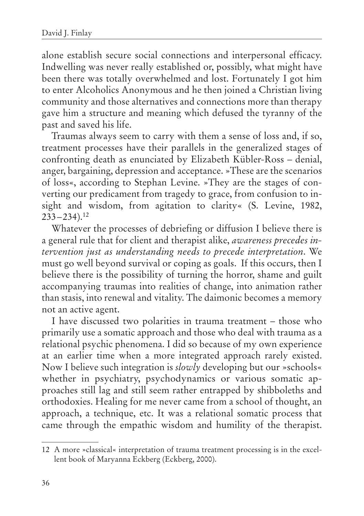alone establish secure social connections and interpersonal efficacy. Indwelling was never really established or, possibly, what might have been there was totally overwhelmed and lost. Fortunately I got him to enter Alcoholics Anonymous and he then joined a Christian living community and those alternatives and connections more than therapy gave him a structure and meaning which defused the tyranny of the past and saved his life.

Traumas always seem to carry with them a sense of loss and, if so, treatment processes have their parallels in the generalized stages of confronting death as enunciated by Elizabeth Kübler-Ross – denial, anger, bargaining, depression and acceptance. »These are the scenarios of loss«, according to Stephan Levine. »They are the stages of converting our predicament from tragedy to grace, from confusion to insight and wisdom, from agitation to clarity« (S. Levine, 1982,  $233 - 234$ ).<sup>12</sup>

Whatever the processes of debriefing or diffusion I believe there is a general rule that for client and therapist alike, *awareness precedes intervention just as understanding needs to precede interpretation*. We must go well beyond survival or coping as goals. If this occurs, then I believe there is the possibility of turning the horror, shame and guilt accompanying traumas into realities of change, into animation rather than stasis, into renewal and vitality. The daimonic becomes a memory not an active agent.

I have discussed two polarities in trauma treatment – those who primarily use a somatic approach and those who deal with trauma as a relational psychic phenomena. I did so because of my own experience at an earlier time when a more integrated approach rarely existed. Now I believe such integration is *slowly* developing but our »schools« whether in psychiatry, psychodynamics or various somatic approaches still lag and still seem rather entrapped by shibboleths and orthodoxies. Healing for me never came from a school of thought, an approach, a technique, etc. It was a relational somatic process that came through the empathic wisdom and humility of the therapist.

<sup>12</sup> A more »classical« interpretation of trauma treatment processing is in the excellent book of Maryanna Eckberg (Eckberg, 2000).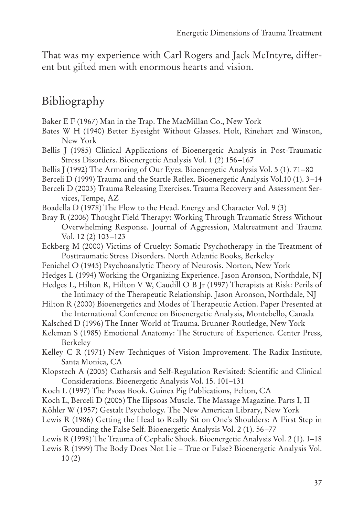That was my experience with Carl Rogers and Jack McIntyre, different but gifted men with enormous hearts and vision.

#### Bibliography

- Baker E F (1967) Man in the Trap. The MacMillan Co., New York
- Bates W H (1940) Better Eyesight Without Glasses. Holt, Rinehart and Winston, New York
- Bellis J (1985) Clinical Applications of Bioenergetic Analysis in Post-Traumatic Stress Disorders. Bioenergetic Analysis Vol. 1 (2) 156–167
- Bellis J (1992) The Armoring of Our Eyes. Bioenergetic Analysis Vol. 5 (1). 71–80
- Berceli D (1999) Trauma and the Startle Reflex. Bioenergetic Analysis Vol.10 (1). 3–14
- Berceli D (2003) Trauma Releasing Exercises. Trauma Recovery and Assessment Services, Tempe, AZ
- Boadella D (1978) The Flow to the Head. Energy and Character Vol. 9 (3)
- Bray R (2006) Thought Field Therapy: Working Through Traumatic Stress Without Overwhelming Response. Journal of Aggression, Maltreatment and Trauma Vol. 12 (2) 103–123
- Eckberg M (2000) Victims of Cruelty: Somatic Psychotherapy in the Treatment of Posttraumatic Stress Disorders. North Atlantic Books, Berkeley
- Fenichel O (1945) Psychoanalytic Theory of Neurosis. Norton, New York
- Hedges L (1994) Working the Organizing Experience. Jason Aronson, Northdale, NJ
- Hedges L, Hilton R, Hilton V W, Caudill O B Jr (1997) Therapists at Risk: Perils of the Intimacy of the Therapeutic Relationship. Jason Aronson, Northdale, NJ
- Hilton R (2000) Bioenergetics and Modes of Therapeutic Action. Paper Presented at the International Conference on Bioenergetic Analysis, Montebello, Canada
- Kalsched D (1996) The Inner World of Trauma. Brunner-Routledge, New York
- Keleman S (1985) Emotional Anatomy: The Structure of Experience. Center Press, Berkeley
- Kelley C R (1971) New Techniques of Vision Improvement. The Radix Institute, Santa Monica, CA
- Klopstech A (2005) Catharsis and Self-Regulation Revisited: Scientific and Clinical Considerations. Bioenergetic Analysis Vol. 15. 101–131
- Koch L (1997) The Psoas Book. Guinea Pig Publications, Felton, CA
- Koch L, Berceli D (2005) The Ilipsoas Muscle. The Massage Magazine. Parts I, II
- Köhler W (1957) Gestalt Psychology. The New American Library, New York
- Lewis R (1986) Getting the Head to Really Sit on One's Shoulders: A First Step in Grounding the False Self. Bioenergetic Analysis Vol. 2 (1). 56–77
- Lewis R (1998) The Trauma of Cephalic Shock. Bioenergetic Analysis Vol. 2 (1). 1–18
- Lewis R (1999) The Body Does Not Lie True or False? Bioenergetic Analysis Vol. 10 (2)